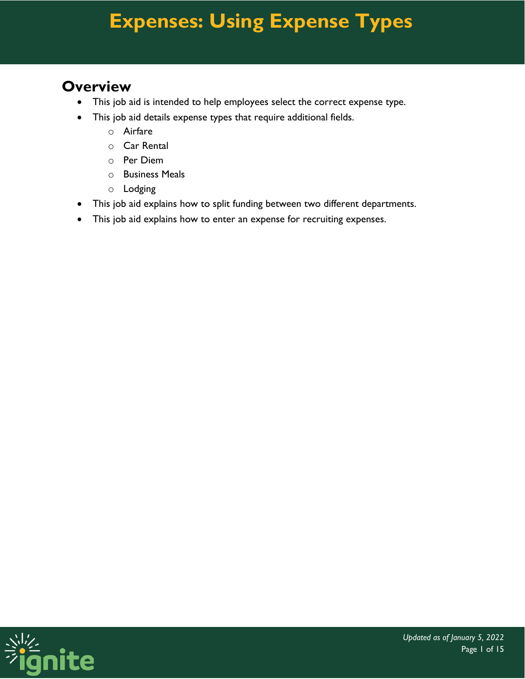#### **Overview**

- This job aid is intended to help employees select the correct expense type.
- This job aid details expense types that require additional fields.
	- o Airfare
	- o Car Rental
	- o Per Diem
	- o Business Meals
	- o Lodging
- This job aid explains how to split funding between two different departments.
- This job aid explains how to enter an expense for recruiting expenses.

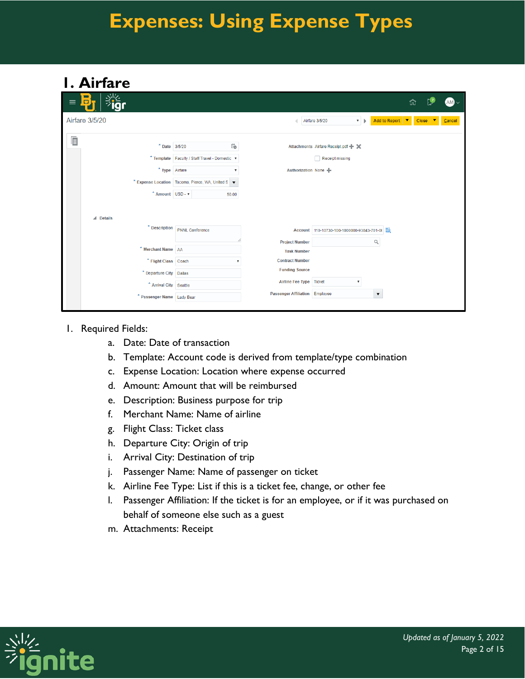### **1. Airfare**

| ぶん<br>$\blacksquare$<br>D<br>$\equiv$ |                                                       |                                       |                                              |                             | ⋒                       | $AM\sim$ |
|---------------------------------------|-------------------------------------------------------|---------------------------------------|----------------------------------------------|-----------------------------|-------------------------|----------|
| <b>Airfare 3/5/20</b>                 |                                                       |                                       | Airfare 3/5/20                               | $\mathbf{v}$   $\mathbf{b}$ | Add to Report ▼ Close ▼ | Cancel   |
|                                       |                                                       |                                       |                                              |                             |                         |          |
| 眉                                     | Ë<br>* Date 3/5/20                                    |                                       | Attachments Airfare Receipt.pdf + X          |                             |                         |          |
|                                       |                                                       |                                       |                                              |                             |                         |          |
|                                       | * Template   Faculty / Staff Travel - Domestic \v     |                                       | Receipt missing                              |                             |                         |          |
|                                       | * Type Airfare<br>$\boldsymbol{\mathrm{v}}$           |                                       | Authorization None +                         |                             |                         |          |
|                                       | * Expense Location   Tacoma, Pierce, WA, United S   v |                                       |                                              |                             |                         |          |
| * Amount USD - $\blacktriangledown$   | 50.00                                                 |                                       |                                              |                             |                         |          |
| $\triangle$ Details                   |                                                       |                                       |                                              |                             |                         |          |
| * Description                         | <b>PNNL Conference</b>                                |                                       | Account 110-10730-100-1000000-93843-701-0( 云 |                             |                         |          |
|                                       |                                                       | <b>Project Number</b>                 |                                              | Q                           |                         |          |
| * Merchant Name AA                    |                                                       | <b>Task Number</b>                    |                                              |                             |                         |          |
| * Flight Class Coach                  |                                                       | <b>Contract Number</b>                |                                              |                             |                         |          |
| * Departure City Dallas               |                                                       | <b>Funding Source</b>                 |                                              |                             |                         |          |
| * Arrival City Seattle                |                                                       | <b>Airline Fee Type</b>               | <b>Ticket</b>                                | ۷.                          |                         |          |
| * Passenger Name Lady Bear            |                                                       | <b>Passenger Affiliation Employee</b> |                                              | $\blacktriangledown$        |                         |          |
|                                       |                                                       |                                       |                                              |                             |                         |          |

#### 1. Required Fields:

- a. Date: Date of transaction
- b. Template: Account code is derived from template/type combination
- c. Expense Location: Location where expense occurred
- d. Amount: Amount that will be reimbursed
- e. Description: Business purpose for trip
- f. Merchant Name: Name of airline
- g. Flight Class: Ticket class
- h. Departure City: Origin of trip
- i. Arrival City: Destination of trip
- j. Passenger Name: Name of passenger on ticket
- k. Airline Fee Type: List if this is a ticket fee, change, or other fee
- l. Passenger Affiliation: If the ticket is for an employee, or if it was purchased on behalf of someone else such as a guest
- m. Attachments: Receipt

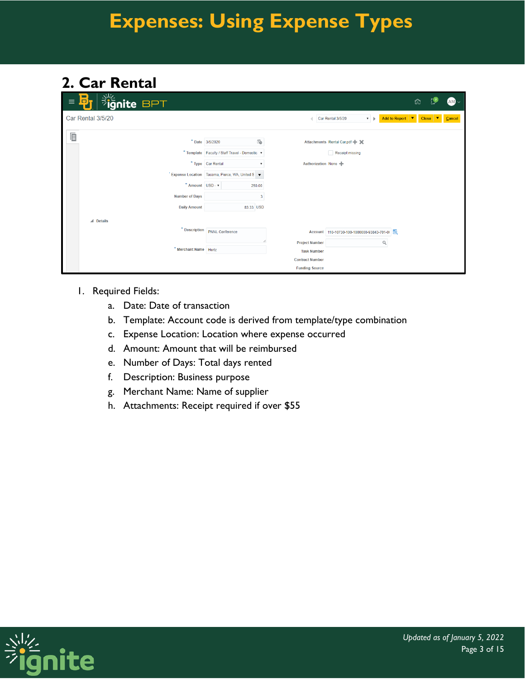### **2. Car Rental**

| $\equiv$ | <b>Fignite BPT</b><br>$\blacksquare$<br>$\Box$ |                                                 |                        |                                                  | ⋒                                         |                         | $AM\sim$ |
|----------|------------------------------------------------|-------------------------------------------------|------------------------|--------------------------------------------------|-------------------------------------------|-------------------------|----------|
|          | Car Rental 3/5/20                              |                                                 |                        | Car Rental 3/5/20<br>$\mathbf{v}$   $\mathbf{b}$ | Add to Report $\vert \triangledown \vert$ | $Close \nightharpoonup$ | Cancel   |
| Ò        |                                                |                                                 |                        |                                                  |                                           |                         |          |
|          |                                                | ö<br>* Date 3/5/2020                            |                        | Attachments Rental Car.pdf + 3                   |                                           |                         |          |
|          |                                                | * Template Faculty / Staff Travel - Domestic v  |                        | Receipt missing                                  |                                           |                         |          |
|          |                                                | * Type Car Rental<br>۰.                         | Authorization None +   |                                                  |                                           |                         |          |
|          |                                                | Expense Location Tacoma, Pierce, WA, United S v |                        |                                                  |                                           |                         |          |
|          | * Amount USD - v                               | 250.00                                          |                        |                                                  |                                           |                         |          |
|          | <b>Number of Days</b>                          | 3                                               |                        |                                                  |                                           |                         |          |
|          | <b>Daily Amount</b>                            | 83.33 USD                                       |                        |                                                  |                                           |                         |          |
|          | $\triangle$ Details                            |                                                 |                        |                                                  |                                           |                         |          |
|          | * Description                                  | <b>PNNL</b> Conference                          |                        | Account 110-10730-100-1000000-93843-701-0( 区     |                                           |                         |          |
|          |                                                |                                                 | <b>Project Number</b>  | Q                                                |                                           |                         |          |
|          | * Merchant Name   Hertz                        |                                                 | <b>Task Number</b>     |                                                  |                                           |                         |          |
|          |                                                |                                                 | <b>Contract Number</b> |                                                  |                                           |                         |          |
|          |                                                |                                                 | <b>Funding Source</b>  |                                                  |                                           |                         |          |

- 1. Required Fields:
	- a. Date: Date of transaction
	- b. Template: Account code is derived from template/type combination
	- c. Expense Location: Location where expense occurred
	- d. Amount: Amount that will be reimbursed
	- e. Number of Days: Total days rented
	- f. Description: Business purpose
	- g. Merchant Name: Name of supplier
	- h. Attachments: Receipt required if over \$55

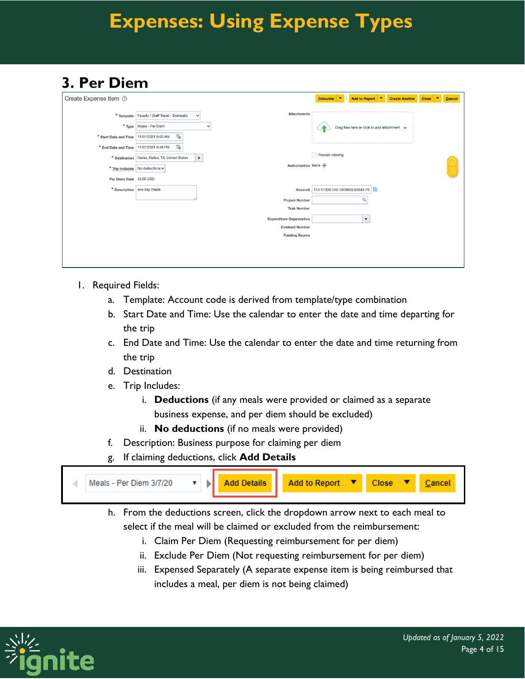### **3. Per Diem**

| Create Expense Item 2    |                                                                           |                                                 | Add to Report ▼<br>Calculate ▼<br><b>Create Another</b><br>$\mathbf{v}$<br><b>Close</b><br>Cancel |
|--------------------------|---------------------------------------------------------------------------|-------------------------------------------------|---------------------------------------------------------------------------------------------------|
|                          | * Template   Faculty / Staff Travel - Domestic<br>$\checkmark$            | <b>Attachments</b>                              |                                                                                                   |
| * Type                   | Meals - Per Diem                                                          | $\checkmark$                                    | Drag files here or click to add attachment $\vee$                                                 |
| * Start Date and Time    | Ëò<br>11/01/2021 9:00 AM                                                  |                                                 |                                                                                                   |
| * End Date and Time      | G)<br>11/01/2021 9:48 PM                                                  |                                                 |                                                                                                   |
|                          | $\blacktriangledown$<br>* Destination   Dallas, Dallas, TX, United States |                                                 | Receipt missing                                                                                   |
|                          | * Trip Includes   No deductions v                                         | Authorization None                              |                                                                                                   |
| Per Diem Total 42.00 USD |                                                                           |                                                 |                                                                                                   |
|                          | * Description one day meals                                               | Account                                         | 110-11300-100-1000000-93843-70                                                                    |
|                          |                                                                           | <b>Project Number</b>                           | $\alpha$                                                                                          |
|                          |                                                                           | <b>Task Number</b>                              |                                                                                                   |
|                          |                                                                           | <b>Expenditure Organization</b>                 | $\blacktriangledown$                                                                              |
|                          |                                                                           | <b>Contract Number</b><br><b>Funding Source</b> |                                                                                                   |
|                          |                                                                           |                                                 |                                                                                                   |
|                          |                                                                           |                                                 |                                                                                                   |
|                          |                                                                           |                                                 |                                                                                                   |

- 1. Required Fields:
	- a. Template: Account code is derived from template/type combination
	- b. Start Date and Time: Use the calendar to enter the date and time departing for the trip
	- c. End Date and Time: Use the calendar to enter the date and time returning from the trip
	- d. Destination
	- e. Trip Includes:
		- i. **Deductions** (if any meals were provided or claimed as a separate business expense, and per diem should be excluded)
		- ii. **No deductions** (if no meals were provided)
	- f. Description: Business purpose for claiming per diem
	- g. If claiming deductions, click **Add Details**



- h. From the deductions screen, click the dropdown arrow next to each meal to select if the meal will be claimed or excluded from the reimbursement:
	- i. Claim Per Diem (Requesting reimbursement for per diem)
	- ii. Exclude Per Diem (Not requesting reimbursement for per diem)
	- iii. Expensed Separately (A separate expense item is being reimbursed that includes a meal, per diem is not being claimed)

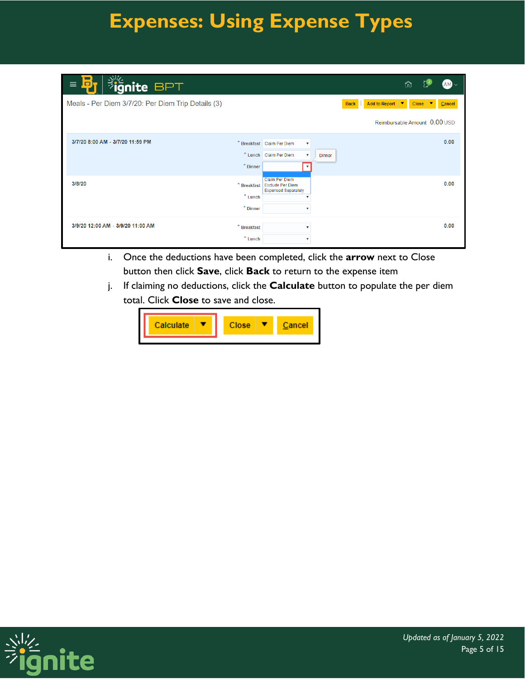| <b>Fignite BPT</b><br>$\Box$<br>$\equiv$           |               |                                                         |               |             |                                                 | ⋒                 | $AM \sim$ |
|----------------------------------------------------|---------------|---------------------------------------------------------|---------------|-------------|-------------------------------------------------|-------------------|-----------|
| Meals - Per Diem 3/7/20: Per Diem Trip Details (3) |               |                                                         |               | <b>Back</b> | <b>Add to Report</b><br>$\overline{\textbf{v}}$ | <b>Close</b><br>▼ | Cancel    |
|                                                    |               |                                                         |               |             | Reimbursable Amount 0.00 USD                    |                   |           |
| 3/7/20 8:00 AM - 3/7/20 11:59 PM                   |               | * Breakfast Claim Per Diem<br>$\boldsymbol{\mathrm{v}}$ |               |             |                                                 |                   | 0.00      |
|                                                    |               | * Lunch Claim Per Diem<br>$\boldsymbol{\mathrm{v}}$     | <b>Dinner</b> |             |                                                 |                   |           |
|                                                    | $*$ Dinner    | $\boldsymbol{\mathrm{v}}$                               |               |             |                                                 |                   |           |
| 3/8/20                                             | * Breakfast   | <b>Claim Per Diem</b><br><b>Exclude Per Diem</b>        |               |             |                                                 |                   | 0.00      |
|                                                    | $*$ Lunch     | <b>Expensed Separately</b><br>$\blacksquare$            |               |             |                                                 |                   |           |
|                                                    | * Dinner      | $\boldsymbol{\mathrm{v}}$                               |               |             |                                                 |                   |           |
| 3/9/20 12:00 AM - 3/9/20 11:00 AM                  | $*$ Breakfast | $\boldsymbol{\mathrm{v}}$                               |               |             |                                                 |                   | 0.00      |
|                                                    | $*$ Lunch     | $\boldsymbol{\mathrm{v}}$                               |               |             |                                                 |                   |           |

- i. Once the deductions have been completed, click the **arrow** next to Close button then click **Save**, click **Back** to return to the expense item
- j. If claiming no deductions, click the **Calculate** button to populate the per diem total. Click **Close** to save and close.



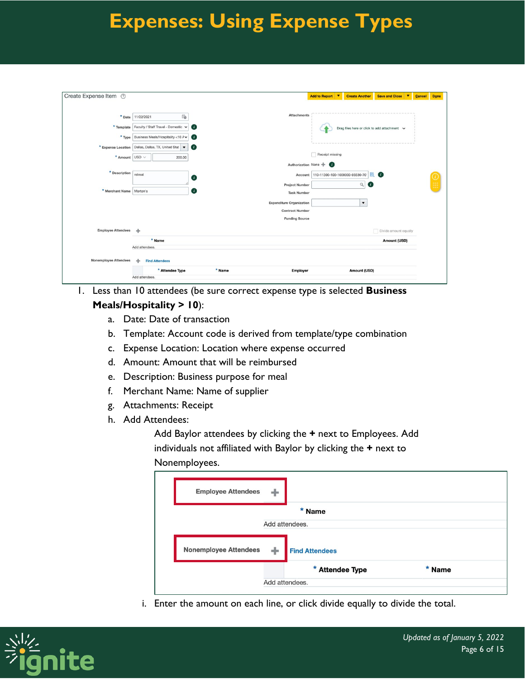| Create Expense Item 2      |                                                                             |                                 | Add to Report ▼                | <b>Create Another</b> | <b>Save and Close</b><br>$\overline{\phantom{a}}$ | Cancel | Done |
|----------------------------|-----------------------------------------------------------------------------|---------------------------------|--------------------------------|-----------------------|---------------------------------------------------|--------|------|
| * Date                     | to<br>11/22/2021                                                            | <b>Attachments</b>              |                                |                       |                                                   |        |      |
| * Template                 | Faculty / Staff Travel - Domestic v<br>$\bullet$                            |                                 |                                |                       | Drag files here or click to add attachment v      |        |      |
| $*$ Type                   | Business Meals/Hospitality <10 A v<br>$\bullet$                             |                                 |                                |                       |                                                   |        |      |
| * Expense Location         | Dallas, Dallas, TX, United Stat<br>$\mathbf{u}$<br>$\overline{\phantom{a}}$ |                                 |                                |                       |                                                   |        |      |
| * Amount USD v             | 200.00                                                                      |                                 | Receipt missing                |                       |                                                   |        |      |
|                            |                                                                             | Authorization None              |                                |                       |                                                   |        |      |
| * Description              | retreat<br>$\mathbf{G}$                                                     | Account                         | 110-11300-100-1000000-93330-70 | <b>EQ.</b>            | $\bullet$                                         |        |      |
|                            |                                                                             | <b>Project Number</b>           |                                | Q<br>$\bullet$        |                                                   |        |      |
| * Merchant Name   Morton's | $\mathbf{u}$                                                                | <b>Task Number</b>              |                                |                       |                                                   |        |      |
|                            |                                                                             | <b>Expenditure Organization</b> |                                | $\blacktriangledown$  |                                                   |        |      |
|                            |                                                                             | <b>Contract Number</b>          |                                |                       |                                                   |        |      |
|                            |                                                                             | <b>Funding Source</b>           |                                |                       |                                                   |        |      |
| <b>Employee Attendees</b>  | ÷                                                                           |                                 |                                |                       | Divide amount equally                             |        |      |
|                            | * Name                                                                      |                                 |                                |                       | Amount (USD)                                      |        |      |
|                            | Add attendees.                                                              |                                 |                                |                       |                                                   |        |      |
| Nonemployee Attendees      | <b>Find Attendees</b><br>÷                                                  |                                 |                                |                       |                                                   |        |      |
|                            | * Attendee Type                                                             | * Name<br>Employer              |                                | <b>Amount (USD)</b>   |                                                   |        |      |
|                            | Add attendees.                                                              |                                 |                                |                       |                                                   |        |      |

- 1. Less than 10 attendees (be sure correct expense type is selected **Business Meals/Hospitality > 10**):
	- a. Date: Date of transaction
	- b. Template: Account code is derived from template/type combination
	- c. Expense Location: Location where expense occurred
	- d. Amount: Amount that will be reimbursed
	- e. Description: Business purpose for meal
	- f. Merchant Name: Name of supplier
	- g. Attachments: Receipt
	- h. Add Attendees:

Add Baylor attendees by clicking the **+** next to Employees. Add individuals not affiliated with Baylor by clicking the **+** next to Nonemployees.

| <b>Employee Attendees</b>    |                |                       |        |  |
|------------------------------|----------------|-----------------------|--------|--|
|                              |                | * Name                |        |  |
|                              | Add attendees. |                       |        |  |
|                              |                |                       |        |  |
| <b>Nonemployee Attendees</b> | ÷              | <b>Find Attendees</b> |        |  |
|                              |                |                       |        |  |
|                              |                | * Attendee Type       | * Name |  |
|                              | Add attendees. |                       |        |  |

i. Enter the amount on each line, or click divide equally to divide the total.

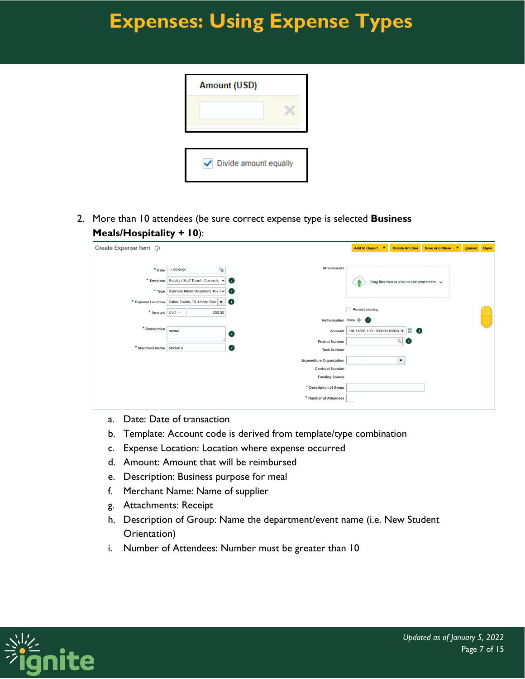| <b>Amount (USD)</b>        |  |
|----------------------------|--|
|                            |  |
|                            |  |
|                            |  |
| Divide amount equally<br>✓ |  |

2. More than 10 attendees (be sure correct expense type is selected **Business Meals/Hospitality + 10**):

| Create Expense Item 2      |                                                      |                                 | <b>Add to Report</b><br>l v            | <b>Create Another</b>                        | <b>Save and Close</b><br>IV. | Cancel | Done |
|----------------------------|------------------------------------------------------|---------------------------------|----------------------------------------|----------------------------------------------|------------------------------|--------|------|
|                            |                                                      |                                 |                                        |                                              |                              |        |      |
| * Date                     | $\overleftrightarrow{v}_\odot$<br>11/22/2021         | <b>Attachments</b>              |                                        |                                              |                              |        |      |
|                            | * Template   Faculty / Staff Travel - Domestic v     | $\mathbf{r}$                    |                                        | Drag files here or click to add attachment v |                              |        |      |
|                            | * Type   Business Meals/Hospitality 10+ / v          | $\mathbf{u}$                    |                                        |                                              |                              |        |      |
|                            | * Expense Location   Dallas, Dallas, TX, United Stat | $\mathbf{u}$                    |                                        |                                              |                              |        |      |
| * Amount USD v             | 200.00                                               |                                 | Receipt missing                        |                                              |                              |        |      |
|                            |                                                      |                                 | Authorization None +                   |                                              |                              |        |      |
| * Description retreat      |                                                      | O                               | Account 110-11300-100-1000000-93330-70 | 國 (1)                                        |                              |        |      |
|                            |                                                      | <b>Project Number</b>           |                                        | Q<br>$\bullet$                               |                              |        |      |
| * Merchant Name   Morton's |                                                      | O<br><b>Task Number</b>         |                                        |                                              |                              |        |      |
|                            |                                                      | <b>Expenditure Organization</b> |                                        | $\blacktriangledown$                         |                              |        |      |
|                            |                                                      | <b>Contract Number</b>          |                                        |                                              |                              |        |      |
|                            |                                                      | <b>Funding Source</b>           |                                        |                                              |                              |        |      |
|                            |                                                      | * Description of Group          |                                        |                                              |                              |        |      |
|                            |                                                      | * Number of Attendees           |                                        |                                              |                              |        |      |
|                            |                                                      |                                 |                                        |                                              |                              |        |      |

- a. Date: Date of transaction
- b. Template: Account code is derived from template/type combination
- c. Expense Location: Location where expense occurred
- d. Amount: Amount that will be reimbursed
- e. Description: Business purpose for meal
- f. Merchant Name: Name of supplier
- g. Attachments: Receipt
- h. Description of Group: Name the department/event name (i.e. New Student Orientation)
- i. Number of Attendees: Number must be greater than 10

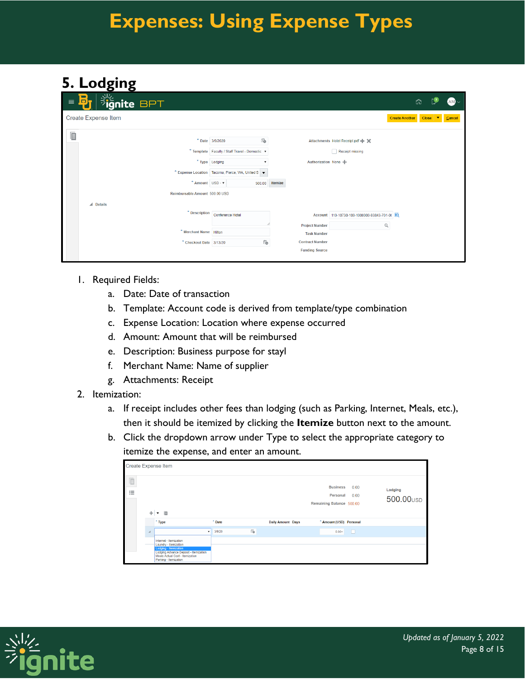#### **5. Lodging**

| $\equiv$ | <b>Signite BPT</b><br>$\Box$                      |                                                        |                        |                                               | ŵ                              |                      | $AM \sim$ |
|----------|---------------------------------------------------|--------------------------------------------------------|------------------------|-----------------------------------------------|--------------------------------|----------------------|-----------|
|          | <b>Create Expense Item</b>                        |                                                        |                        |                                               | <b>Create Another</b><br>Close | $\blacktriangledown$ | Cancel    |
| Ē        |                                                   |                                                        |                        |                                               |                                |                      |           |
|          |                                                   | Ëò<br>* Date 3/9/2020                                  |                        | Attachments Hotel Receipt.pdf - ※             |                                |                      |           |
|          |                                                   | * Template   Faculty / Staff Travel - Domestic $\cdot$ |                        | Receipt missing                               |                                |                      |           |
|          |                                                   | * Type Lodging                                         |                        |                                               |                                |                      |           |
|          | * Expense Location Tacoma, Pierce, WA, United S v |                                                        |                        |                                               |                                |                      |           |
|          | * Amount USD - $\blacktriangledown$               | 500.00                                                 | Itemize                |                                               |                                |                      |           |
|          | Reimbursable Amount 500.00 USD                    |                                                        |                        |                                               |                                |                      |           |
|          | $\triangle$ Details                               |                                                        |                        |                                               |                                |                      |           |
|          |                                                   | * Description Conference Hotel                         |                        | Account 110-10730-100-1000000-93843-701-0( B) |                                |                      |           |
|          |                                                   |                                                        | <b>Project Number</b>  | Q                                             |                                |                      |           |
|          | * Merchant Name Hilton                            |                                                        | <b>Task Number</b>     |                                               |                                |                      |           |
|          | * Checkout Date 3/13/20                           | Ëò                                                     | <b>Contract Number</b> |                                               |                                |                      |           |
|          |                                                   |                                                        | <b>Funding Source</b>  |                                               |                                |                      |           |
|          |                                                   |                                                        |                        |                                               |                                |                      |           |

- 1. Required Fields:
	- a. Date: Date of transaction
	- b. Template: Account code is derived from template/type combination
	- c. Expense Location: Location where expense occurred
	- d. Amount: Amount that will be reimbursed
	- e. Description: Business purpose for stayl
	- f. Merchant Name: Name of supplier
	- g. Attachments: Receipt
- 2. Itemization:
	- a. If receipt includes other fees than lodging (such as Parking, Internet, Meals, etc.), then it should be itemized by clicking the **Itemize** button next to the amount.
	- b. Click the dropdown arrow under Type to select the appropriate category to itemize the expense, and enter an amount.

|        |                | <b>Create Expense Item</b>                                                                                                                                                    |        |                                   |                                                         |              |                                  |
|--------|----------------|-------------------------------------------------------------------------------------------------------------------------------------------------------------------------------|--------|-----------------------------------|---------------------------------------------------------|--------------|----------------------------------|
| l<br>這 |                | 目                                                                                                                                                                             |        |                                   | <b>Business</b><br>Personal<br>Remaining Balance 500.00 | 0.00<br>0.00 | Lodging<br>500.00 <sub>USD</sub> |
|        |                | * Type                                                                                                                                                                        | * Date | <b>Daily Amount Days</b>          | * Amount (USD) Personal                                 |              |                                  |
|        | $\overline{A}$ | ۰                                                                                                                                                                             | 3/9/20 | $\overleftrightarrow{v}_\text{O}$ | $0.00+$                                                 | ۰C           |                                  |
|        |                | Internet - Itemization<br>Laundry - Itemization<br>Lodging - Itemization<br>Lodging Advance Deposit - Itemization<br>Meals Actual Cost - Itemization<br>Parking - Itemization |        |                                   |                                                         |              |                                  |

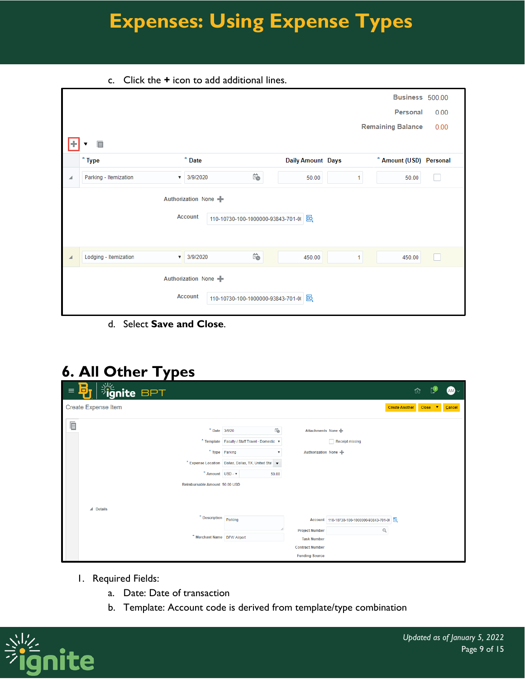c. Click the **+** icon to add additional lines.

|   |                       |                                        |                                      |                          |    | Business 500.00          |      |
|---|-----------------------|----------------------------------------|--------------------------------------|--------------------------|----|--------------------------|------|
|   |                       |                                        |                                      |                          |    | Personal                 | 0.00 |
|   |                       |                                        |                                      |                          |    | <b>Remaining Balance</b> | 0.00 |
|   | 目                     |                                        |                                      |                          |    |                          |      |
|   | $*$ Type              | $*$ Date                               |                                      | <b>Daily Amount Days</b> |    | * Amount (USD) Personal  |      |
| ◢ | Parking - Itemization | 3/9/2020<br>$\boldsymbol{\mathrm{v}}$  | $\overleftrightarrow{1}$             | 50.00                    | 1. | 50.00                    |      |
|   |                       | Authorization None<br><b>Account</b>   | 110-10730-100-1000000-93843-701-0( 图 |                          |    |                          |      |
|   | Lodging - Itemization | 3/9/2020<br>$\mathbf{v}$               | Ïò                                   | 450.00                   | 1  | 450.00                   |      |
|   |                       | Authorization None +<br><b>Account</b> | 110-10730-100-1000000-93843-701-0( 图 |                          |    |                          |      |

d. Select **Save and Close**.

#### **6. All Other Types**

| $\equiv$ | <b>BREAT SPT</b><br>В.                                                           |                                                                                                                                                                      |                                                                                                |                                                   | ⋒                                  | $AM \sim$ |
|----------|----------------------------------------------------------------------------------|----------------------------------------------------------------------------------------------------------------------------------------------------------------------|------------------------------------------------------------------------------------------------|---------------------------------------------------|------------------------------------|-----------|
|          | <b>Create Expense Item</b>                                                       |                                                                                                                                                                      |                                                                                                |                                                   | <b>Create Another</b><br>Close   V | Cancel    |
| 眉        | * Amount   USD - $\mathbf{v}$<br>Reimbursable Amount 50.00 USD                   | Ëò<br>* Date 3/9/20<br>* Template   Faculty / Staff Travel - Domestic $\cdot$<br>* Type Parking<br>* Expense Location   Dallas, Dallas, TX, United Stal   v<br>50.00 | Attachments None<br>Authorization None +                                                       | <b>Receipt missing</b>                            |                                    |           |
|          | $\blacktriangle$ Details<br>* Description Parking<br>* Merchant Name DFW Airport |                                                                                                                                                                      | <b>Project Number</b><br><b>Task Number</b><br><b>Contract Number</b><br><b>Funding Source</b> | Account 110-10730-100-1000000-93843-701-0( 云<br>Q |                                    |           |

- 1. Required Fields:
	- a. Date: Date of transaction
	- b. Template: Account code is derived from template/type combination

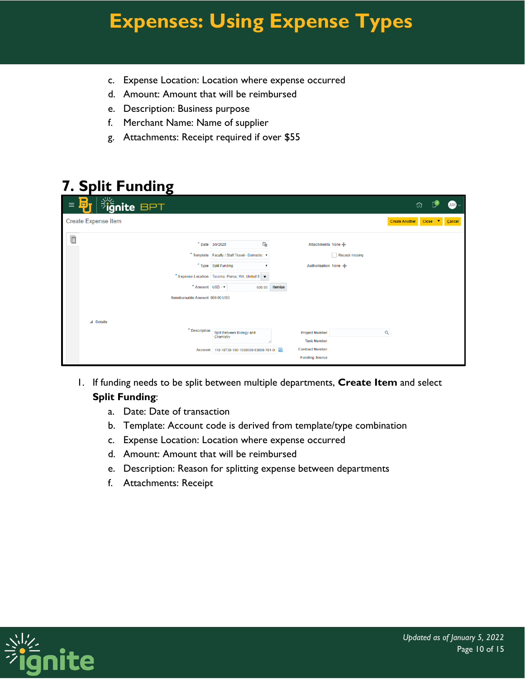- c. Expense Location: Location where expense occurred
- d. Amount: Amount that will be reimbursed
- e. Description: Business purpose
- f. Merchant Name: Name of supplier
- g. Attachments: Receipt required if over \$55

### **7. Split Funding**

| <b>Sulgnite BPT</b><br>$\blacksquare$<br>D,<br>$\equiv$               |                                                                        |                                                 | $AM \sim$<br>û                                 |
|-----------------------------------------------------------------------|------------------------------------------------------------------------|-------------------------------------------------|------------------------------------------------|
| Create Expense Item                                                   |                                                                        |                                                 | <b>Create Another</b><br>Close   V  <br>Cancel |
| 眉                                                                     | Ë.<br>* Date 3/9/2020                                                  | Attachments None                                |                                                |
|                                                                       | * Template Faculty / Staff Travel - Domestic v<br>* Type Split Funding | Receipt missing<br>Authorization None           |                                                |
|                                                                       | * Expense Location Tacoma, Pierce, WA, United S v                      |                                                 |                                                |
| * Amount USD - $\blacktriangledown$<br>Reimbursable Amount 600.00 USD | 600.00                                                                 | Itemize                                         |                                                |
|                                                                       |                                                                        |                                                 |                                                |
| $\triangle$ Details<br>* Description                                  | Split Between Biology and                                              | <b>Project Number</b>                           | $\hbox{\tt Q}$                                 |
|                                                                       | Chemistry                                                              | <b>Task Number</b>                              |                                                |
|                                                                       | Account 110-10730-100-1000000-93800-701-0( 图                           | <b>Contract Number</b><br><b>Funding Source</b> |                                                |

- 1. If funding needs to be split between multiple departments, **Create Item** and select **Split Funding**:
	- a. Date: Date of transaction
	- b. Template: Account code is derived from template/type combination
	- c. Expense Location: Location where expense occurred
	- d. Amount: Amount that will be reimbursed
	- e. Description: Reason for splitting expense between departments
	- f. Attachments: Receipt

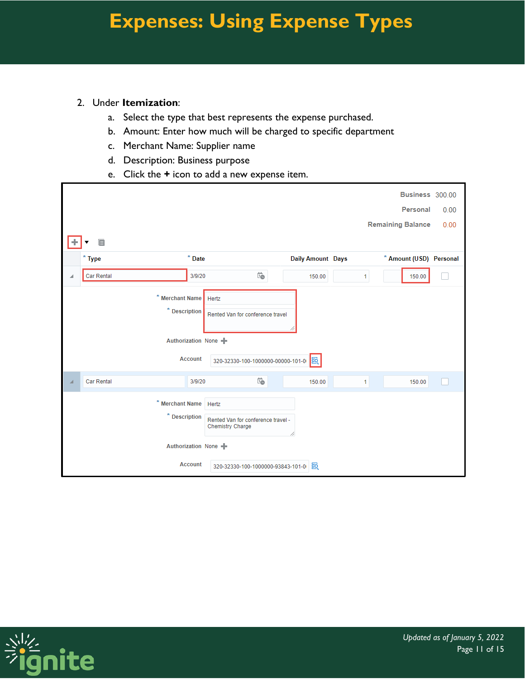#### 2. Under **Itemization**:

- a. Select the type that best represents the expense purchased.
- b. Amount: Enter how much will be charged to specific department
- c. Merchant Name: Supplier name
- d. Description: Business purpose
- e. Click the **+** icon to add a new expense item.

|   |                                                                                                         |                                                     |                          |              | Business 300.00          |      |
|---|---------------------------------------------------------------------------------------------------------|-----------------------------------------------------|--------------------------|--------------|--------------------------|------|
|   |                                                                                                         |                                                     |                          |              | Personal                 | 0.00 |
|   |                                                                                                         |                                                     |                          |              | <b>Remaining Balance</b> | 0.00 |
|   | $\mathsf{E}$                                                                                            |                                                     |                          |              |                          |      |
|   | $*$ Type                                                                                                | $*$ Date                                            | <b>Daily Amount Days</b> |              | * Amount (USD) Personal  |      |
| ◢ | <b>Car Rental</b>                                                                                       | $\overleftrightarrow{1}$<br>3/9/20                  | 150.00                   | 1            | 150.00                   |      |
|   | * Merchant Name<br>Hertz<br>$*$ Description<br>Rented Van for conference travel<br>Authorization None + |                                                     |                          |              |                          |      |
|   |                                                                                                         | <b>Account</b><br>320-32330-100-1000000-00000-101-0 | 國                        |              |                          |      |
| ⊿ | Car Rental                                                                                              | $\overleftrightarrow{1}$<br>3/9/20                  | 150.00                   | $\mathbf{1}$ | 150.00                   |      |
|   | * Merchant Name Hertz<br>* Description<br>Rented Van for conference travel -<br><b>Chemistry Charge</b> |                                                     |                          |              |                          |      |
|   |                                                                                                         | Authorization None +                                |                          |              |                          |      |
|   |                                                                                                         | <b>Account</b><br>320-32330-100-1000000-93843-101-0 | 國                        |              |                          |      |

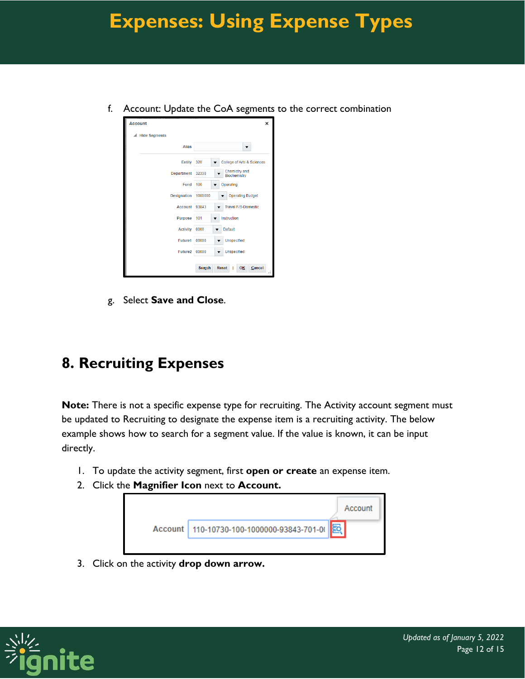f. Account: Update the CoA segments to the correct combination

| <b>Account</b>       | ×                                      |
|----------------------|----------------------------------------|
| <b>Hide Segments</b> |                                        |
| <b>Alias</b>         |                                        |
| <b>Entity</b>        | 320<br>College of Arts & Sciences      |
| <b>Department</b>    | Chemistry and<br>32330<br>Biochemistry |
| Fund                 | 100<br>Operating                       |
| <b>Designation</b>   | <b>Operating Budget</b><br>1000000     |
| <b>Account</b>       | 93843<br><b>Travel F/S-Domestic</b>    |
| <b>Purpose</b>       | 101<br>Instruction                     |
| <b>Activity</b>      | Default<br>0000                        |
| Future1              | 00000<br><b>Unspecified</b>            |
| Future <sub>2</sub>  | 00000<br><b>Unspecified</b>            |
|                      | <b>Reset</b><br>Cancel<br>Search<br>OK |

g. Select **Save and Close**.

#### **8. Recruiting Expenses**

**Note:** There is not a specific expense type for recruiting. The Activity account segment must be updated to Recruiting to designate the expense item is a recruiting activity. The below example shows how to search for a segment value. If the value is known, it can be input directly.

- 1. To update the activity segment, first **open or create** an expense item.
- 2. Click the **Magnifier Icon** next to **Account.**



3. Click on the activity **drop down arrow.**

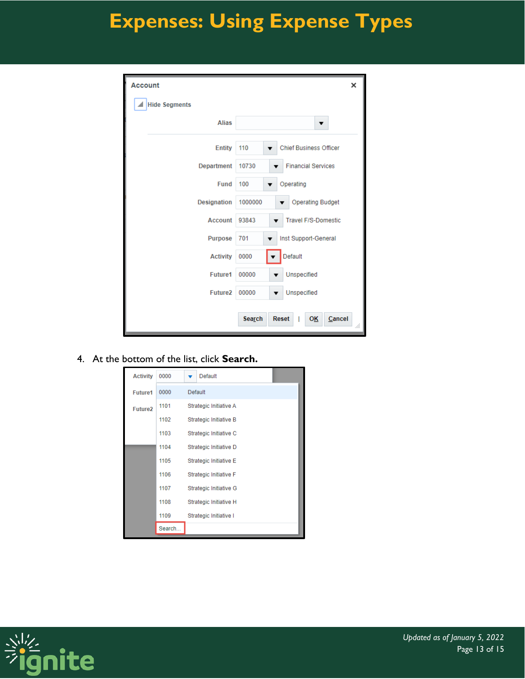| <b>Account</b>       | ×                                               |
|----------------------|-------------------------------------------------|
| <b>Hide Segments</b> |                                                 |
| <b>Alias</b>         | ▼                                               |
| <b>Entity</b>        | 110<br><b>Chief Business Officer</b>            |
| Department           | 10730<br><b>Financial Services</b>              |
| <b>Fund</b>          | 100<br>Operating                                |
| <b>Designation</b>   | <b>Operating Budget</b><br>1000000              |
| <b>Account</b>       | <b>Travel F/S-Domestic</b><br>93843             |
| <b>Purpose</b>       | 701<br>Inst Support-General                     |
| <b>Activity</b>      | Default<br>0000                                 |
| <b>Future1</b>       | 00000<br>Unspecified<br>▼                       |
| Future <sub>2</sub>  | 00000<br>Unspecified                            |
|                      | Search<br><b>Reset</b><br>Cancel<br>ОĶ<br>I<br> |

4. At the bottom of the list, click **Search.**

| <b>Activity</b>     | 0000   | Default                |  |
|---------------------|--------|------------------------|--|
| <b>Future1</b>      | 0000   | Default                |  |
| Future <sub>2</sub> | 1101   | Strategic Initiative A |  |
|                     | 1102   | Strategic Initiative B |  |
|                     | 1103   | Strategic Initiative C |  |
|                     | 1104   | Strategic Initiative D |  |
|                     | 1105   | Strategic Initiative E |  |
|                     | 1106   | Strategic Initiative F |  |
|                     | 1107   | Strategic Initiative G |  |
|                     | 1108   | Strategic Initiative H |  |
|                     | 1109   | Strategic Initiative I |  |
|                     | Search |                        |  |

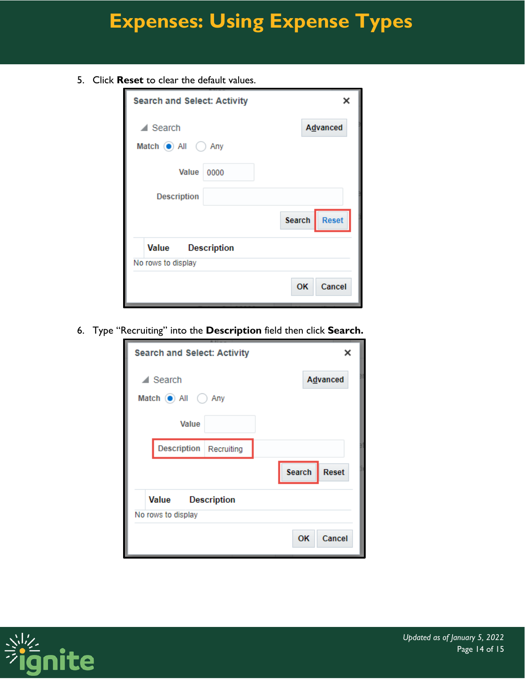5. Click **Reset** to clear the default values.

| <b>Search and Select: Activity</b>                |                    |               | ×            |
|---------------------------------------------------|--------------------|---------------|--------------|
| $\blacktriangle$ Search<br>Match (a) All<br>◯ Any |                    |               | Advanced     |
| Value<br><b>Description</b>                       | 0000               |               |              |
|                                                   |                    | <b>Search</b> | <b>Reset</b> |
| Value<br>No rows to display                       | <b>Description</b> |               |              |
|                                                   |                    | OK            | Cancel       |

6. Type "Recruiting" into the **Description** field then click **Search.**

| <b>Search and Select: Activity</b>                       | ×                             |
|----------------------------------------------------------|-------------------------------|
| $\blacktriangle$ Search<br>Match $\odot$ All $\odot$ Any | Advanced                      |
| Value                                                    |                               |
| Description Recruiting                                   |                               |
|                                                          | <b>Search</b><br><b>Reset</b> |
| Value<br><b>Description</b>                              |                               |
| No rows to display                                       |                               |
|                                                          | Cancel<br><b>OK</b>           |